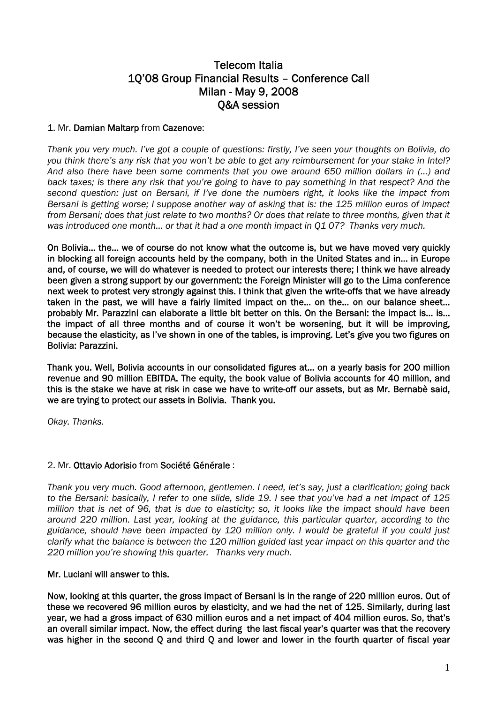# Telecom Italia 1Q'08 Group Financial Results – Conference Call Milan - May 9, 2008 Q&A session

# 1. Mr. Damian Maltarp from Cazenove:

*Thank you very much. I've got a couple of questions: firstly, I've seen your thoughts on Bolivia, do you think there's any risk that you won't be able to get any reimbursement for your stake in Intel? And also there have been some comments that you owe around 650 million dollars in (…) and back taxes; is there any risk that you're going to have to pay something in that respect? And the second question: just on Bersani, if I've done the numbers right, it looks like the impact from Bersani is getting worse; I suppose another way of asking that is: the 125 million euros of impact from Bersani; does that just relate to two months? Or does that relate to three months, given that it was introduced one month… or that it had a one month impact in Q1 07? Thanks very much.* 

On Bolivia… the… we of course do not know what the outcome is, but we have moved very quickly in blocking all foreign accounts held by the company, both in the United States and in… in Europe and, of course, we will do whatever is needed to protect our interests there; I think we have already been given a strong support by our government: the Foreign Minister will go to the Lima conference next week to protest very strongly against this. I think that given the write-offs that we have already taken in the past, we will have a fairly limited impact on the… on the… on our balance sheet… probably Mr. Parazzini can elaborate a little bit better on this. On the Bersani: the impact is… is… the impact of all three months and of course it won't be worsening, but it will be improving, because the elasticity, as I've shown in one of the tables, is improving. Let's give you two figures on Bolivia: Parazzini.

Thank you. Well, Bolivia accounts in our consolidated figures at… on a yearly basis for 200 million revenue and 90 million EBITDA. The equity, the book value of Bolivia accounts for 40 million, and this is the stake we have at risk in case we have to write-off our assets, but as Mr. Bernabè said, we are trying to protect our assets in Bolivia. Thank you.

*Okay. Thanks.* 

# 2. Mr. Ottavio Adorisio from Société Générale :

*Thank you very much. Good afternoon, gentlemen. I need, let's say, just a clarification; going back to the Bersani: basically, I refer to one slide, slide 19. I see that you've had a net impact of 125 million that is net of 96, that is due to elasticity; so, it looks like the impact should have been around 220 million. Last year, looking at the guidance, this particular quarter, according to the guidance, should have been impacted by 120 million only. I would be grateful if you could just clarify what the balance is between the 120 million guided last year impact on this quarter and the 220 million you're showing this quarter. Thanks very much.* 

# Mr. Luciani will answer to this.

Now, looking at this quarter, the gross impact of Bersani is in the range of 220 million euros. Out of these we recovered 96 million euros by elasticity, and we had the net of 125. Similarly, during last year, we had a gross impact of 630 million euros and a net impact of 404 million euros. So, that's an overall similar impact. Now, the effect during the last fiscal year's quarter was that the recovery was higher in the second Q and third Q and lower and lower in the fourth quarter of fiscal year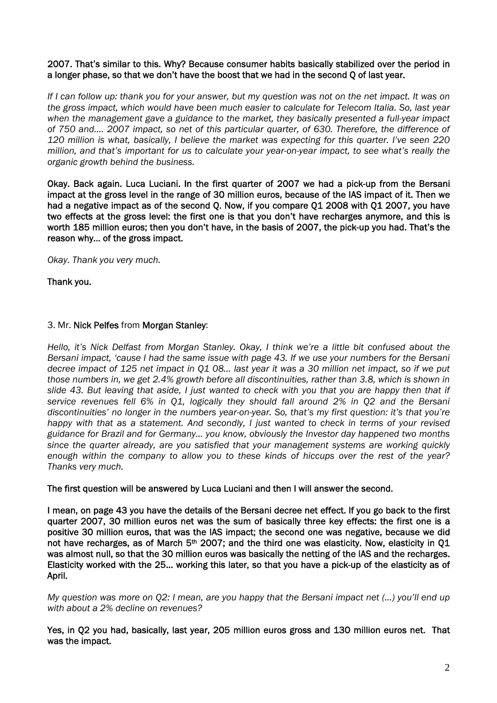# 2007. That's similar to this. Why? Because consumer habits basically stabilized over the period in a longer phase, so that we don't have the boost that we had in the second Q of last year.

*If I can follow up: thank you for your answer, but my question was not on the net impact. It was on the gross impact, which would have been much easier to calculate for Telecom Italia. So, last year when the management gave a guidance to the market, they basically presented a full-year impact of 750 and…. 2007 impact, so net of this particular quarter, of 630. Therefore, the difference of 120 million is what, basically, I believe the market was expecting for this quarter. I've seen 220 million, and that's important for us to calculate your year-on-year impact, to see what's really the organic growth behind the business.* 

Okay. Back again. Luca Luciani. In the first quarter of 2007 we had a pick-up from the Bersani impact at the gross level in the range of 30 million euros, because of the IAS impact of it. Then we had a negative impact as of the second Q. Now, if you compare Q1 2008 with Q1 2007, you have two effects at the gross level: the first one is that you don't have recharges anymore, and this is worth 185 million euros; then you don't have, in the basis of 2007, the pick-up you had. That's the reason why… of the gross impact.

*Okay. Thank you very much.* 

Thank you.

# 3. Mr. Nick Pelfes from Morgan Stanley:

*Hello, it's Nick Delfast from Morgan Stanley. Okay, I think we're a little bit confused about the Bersani impact, 'cause I had the same issue with page 43. If we use your numbers for the Bersani decree impact of 125 net impact in Q1 08… last year it was a 30 million net impact, so if we put those numbers in, we get 2.4% growth before all discontinuities, rather than 3.8, which is shown in slide 43. But leaving that aside, I just wanted to check with you that you are happy then that if service revenues fell 6% in Q1, logically they should fall around 2% in Q2 and the Bersani discontinuities' no longer in the numbers year-on-year. So, that's my first question: it's that you're happy with that as a statement. And secondly, I just wanted to check in terms of your revised guidance for Brazil and for Germany… you know, obviously the Investor day happened two months since the quarter already, are you satisfied that your management systems are working quickly enough within the company to allow you to these kinds of hiccups over the rest of the year? Thanks very much.* 

# The first question will be answered by Luca Luciani and then I will answer the second.

I mean, on page 43 you have the details of the Bersani decree net effect. If you go back to the first quarter 2007, 30 million euros net was the sum of basically three key effects: the first one is a positive 30 million euros, that was the IAS impact; the second one was negative, because we did not have recharges, as of March 5<sup>th</sup> 2007; and the third one was elasticity. Now, elasticity in Q1 was almost null, so that the 30 million euros was basically the netting of the IAS and the recharges. Elasticity worked with the 25… working this later, so that you have a pick-up of the elasticity as of April.

*My question was more on Q2: I mean, are you happy that the Bersani impact net (…) you'll end up with about a 2% decline on revenues?* 

Yes, in Q2 you had, basically, last year, 205 million euros gross and 130 million euros net. That was the impact.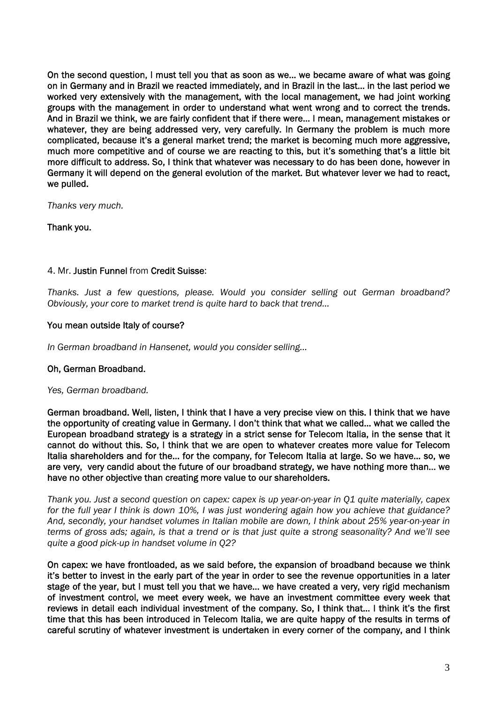On the second question, I must tell you that as soon as we… we became aware of what was going on in Germany and in Brazil we reacted immediately, and in Brazil in the last… in the last period we worked very extensively with the management, with the local management, we had joint working groups with the management in order to understand what went wrong and to correct the trends. And in Brazil we think, we are fairly confident that if there were… I mean, management mistakes or whatever, they are being addressed very, very carefully. In Germany the problem is much more complicated, because it's a general market trend; the market is becoming much more aggressive, much more competitive and of course we are reacting to this, but it's something that's a little bit more difficult to address. So, I think that whatever was necessary to do has been done, however in Germany it will depend on the general evolution of the market. But whatever lever we had to react, we pulled.

*Thanks very much.* 

Thank you.

# 4. Mr. Justin Funnel from Credit Suisse:

*Thanks. Just a few questions, please. Would you consider selling out German broadband? Obviously, your core to market trend is quite hard to back that trend…* 

# You mean outside Italy of course?

*In German broadband in Hansenet, would you consider selling…* 

# Oh, German Broadband.

*Yes, German broadband.* 

German broadband. Well, listen, I think that I have a very precise view on this. I think that we have the opportunity of creating value in Germany. I don't think that what we called… what we called the European broadband strategy is a strategy in a strict sense for Telecom Italia, in the sense that it cannot do without this. So, I think that we are open to whatever creates more value for Telecom Italia shareholders and for the… for the company, for Telecom Italia at large. So we have… so, we are very, very candid about the future of our broadband strategy, we have nothing more than… we have no other objective than creating more value to our shareholders.

*Thank you. Just a second question on capex: capex is up year-on-year in Q1 quite materially, capex for the full year I think is down 10%, I was just wondering again how you achieve that guidance? And, secondly, your handset volumes in Italian mobile are down, I think about 25% year-on-year in terms of gross ads; again, is that a trend or is that just quite a strong seasonality? And we'll see quite a good pick-up in handset volume in Q2?* 

On capex: we have frontloaded, as we said before, the expansion of broadband because we think it's better to invest in the early part of the year in order to see the revenue opportunities in a later stage of the year, but I must tell you that we have… we have created a very, very rigid mechanism of investment control, we meet every week, we have an investment committee every week that reviews in detail each individual investment of the company. So, I think that… I think it's the first time that this has been introduced in Telecom Italia, we are quite happy of the results in terms of careful scrutiny of whatever investment is undertaken in every corner of the company, and I think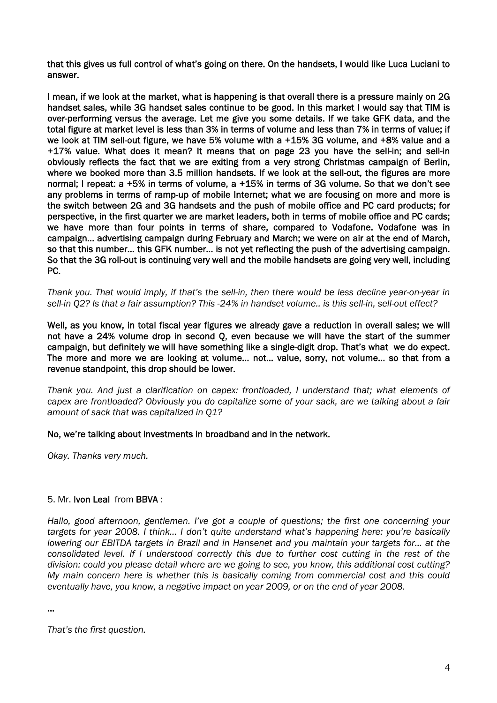that this gives us full control of what's going on there. On the handsets, I would like Luca Luciani to answer.

I mean, if we look at the market, what is happening is that overall there is a pressure mainly on 2G handset sales, while 3G handset sales continue to be good. In this market I would say that TIM is over-performing versus the average. Let me give you some details. If we take GFK data, and the total figure at market level is less than 3% in terms of volume and less than 7% in terms of value; if we look at TIM sell-out figure, we have 5% volume with a +15% 3G volume, and +8% value and a +17% value. What does it mean? It means that on page 23 you have the sell-in; and sell-in obviously reflects the fact that we are exiting from a very strong Christmas campaign of Berlin, where we booked more than 3.5 million handsets. If we look at the sell-out, the figures are more normal; I repeat: a +5% in terms of volume, a +15% in terms of 3G volume. So that we don't see any problems in terms of ramp-up of mobile Internet; what we are focusing on more and more is the switch between 2G and 3G handsets and the push of mobile office and PC card products; for perspective, in the first quarter we are market leaders, both in terms of mobile office and PC cards; we have more than four points in terms of share, compared to Vodafone. Vodafone was in campaign… advertising campaign during February and March; we were on air at the end of March, so that this number… this GFK number… is not yet reflecting the push of the advertising campaign. So that the 3G roll-out is continuing very well and the mobile handsets are going very well, including PC.

*Thank you. That would imply, if that's the sell-in, then there would be less decline year-on-year in sell-in Q2? Is that a fair assumption? This -24% in handset volume.. is this sell-in, sell-out effect?* 

Well, as you know, in total fiscal year figures we already gave a reduction in overall sales; we will not have a 24% volume drop in second Q, even because we will have the start of the summer campaign, but definitely we will have something like a single-digit drop. That's what we do expect. The more and more we are looking at volume… not… value, sorry, not volume… so that from a revenue standpoint, this drop should be lower.

*Thank you. And just a clarification on capex: frontloaded, I understand that; what elements of capex are frontloaded? Obviously you do capitalize some of your sack, are we talking about a fair amount of sack that was capitalized in Q1?* 

# No, we're talking about investments in broadband and in the network.

*Okay. Thanks very much.* 

# 5. Mr. Ivon Leal from BBVA :

*Hallo, good afternoon, gentlemen. I've got a couple of questions; the first one concerning your targets for year 2008. I think… I don't quite understand what's happening here: you're basically lowering our EBITDA targets in Brazil and in Hansenet and you maintain your targets for… at the consolidated level. If I understood correctly this due to further cost cutting in the rest of the division: could you please detail where are we going to see, you know, this additional cost cutting? My main concern here is whether this is basically coming from commercial cost and this could eventually have, you know, a negative impact on year 2009, or on the end of year 2008.* 

...

*That's the first question.*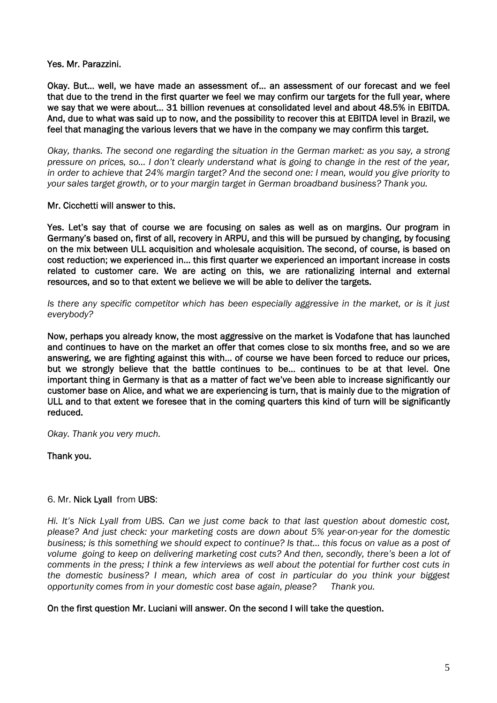Yes. Mr. Parazzini.

Okay. But… well, we have made an assessment of… an assessment of our forecast and we feel that due to the trend in the first quarter we feel we may confirm our targets for the full year, where we say that we were about… 31 billion revenues at consolidated level and about 48.5% in EBITDA. And, due to what was said up to now, and the possibility to recover this at EBITDA level in Brazil, we feel that managing the various levers that we have in the company we may confirm this target.

*Okay, thanks. The second one regarding the situation in the German market: as you say, a strong pressure on prices, so… I don't clearly understand what is going to change in the rest of the year, in order to achieve that 24% margin target? And the second one: I mean, would you give priority to your sales target growth, or to your margin target in German broadband business? Thank you.*

# Mr. Cicchetti will answer to this.

Yes. Let's say that of course we are focusing on sales as well as on margins. Our program in Germany's based on, first of all, recovery in ARPU, and this will be pursued by changing, by focusing on the mix between ULL acquisition and wholesale acquisition. The second, of course, is based on cost reduction; we experienced in… this first quarter we experienced an important increase in costs related to customer care. We are acting on this, we are rationalizing internal and external resources, and so to that extent we believe we will be able to deliver the targets.

*Is there any specific competitor which has been especially aggressive in the market, or is it just everybody?* 

Now, perhaps you already know, the most aggressive on the market is Vodafone that has launched and continues to have on the market an offer that comes close to six months free, and so we are answering, we are fighting against this with… of course we have been forced to reduce our prices, but we strongly believe that the battle continues to be… continues to be at that level. One important thing in Germany is that as a matter of fact we've been able to increase significantly our customer base on Alice, and what we are experiencing is turn, that is mainly due to the migration of ULL and to that extent we foresee that in the coming quarters this kind of turn will be significantly reduced.

*Okay. Thank you very much.* 

Thank you.

# 6. Mr. Nick Lyall from UBS:

*Hi. It's Nick Lyall from UBS. Can we just come back to that last question about domestic cost, please? And just check: your marketing costs are down about 5% year-on-year for the domestic business; is this something we should expect to continue? Is that… this focus on value as a post of volume going to keep on delivering marketing cost cuts? And then, secondly, there's been a lot of comments in the press; I think a few interviews as well about the potential for further cost cuts in the domestic business? I mean, which area of cost in particular do you think your biggest opportunity comes from in your domestic cost base again, please? Thank you.* 

# On the first question Mr. Luciani will answer. On the second I will take the question.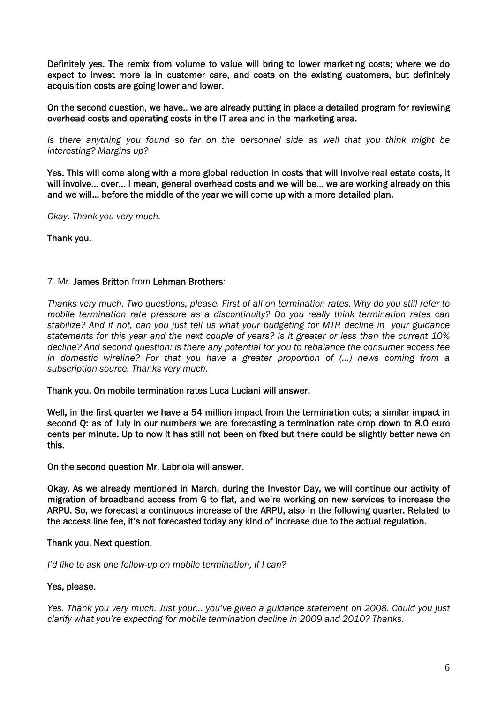Definitely yes. The remix from volume to value will bring to lower marketing costs; where we do expect to invest more is in customer care, and costs on the existing customers, but definitely acquisition costs are going lower and lower.

On the second question, we have.. we are already putting in place a detailed program for reviewing overhead costs and operating costs in the IT area and in the marketing area.

*Is there anything you found so far on the personnel side as well that you think might be interesting? Margins up?* 

Yes. This will come along with a more global reduction in costs that will involve real estate costs, it will involve… over… I mean, general overhead costs and we will be… we are working already on this and we will… before the middle of the year we will come up with a more detailed plan.

*Okay. Thank you very much.* 

Thank you.

# 7. Mr. James Britton from Lehman Brothers:

*Thanks very much. Two questions, please. First of all on termination rates. Why do you still refer to mobile termination rate pressure as a discontinuity? Do you really think termination rates can stabilize? And if not, can you just tell us what your budgeting for MTR decline in your guidance statements for this year and the next couple of years? Is it greater or less than the current 10% decline? And second question: is there any potential for you to rebalance the consumer access fee in domestic wireline? For that you have a greater proportion of (...) news coming from a subscription source. Thanks very much.* 

Thank you. On mobile termination rates Luca Luciani will answer.

Well, in the first quarter we have a 54 million impact from the termination cuts; a similar impact in second Q: as of July in our numbers we are forecasting a termination rate drop down to 8.0 euro cents per minute. Up to now it has still not been on fixed but there could be slightly better news on this.

On the second question Mr. Labriola will answer.

Okay. As we already mentioned in March, during the Investor Day, we will continue our activity of migration of broadband access from G to flat, and we're working on new services to increase the ARPU. So, we forecast a continuous increase of the ARPU, also in the following quarter. Related to the access line fee, it's not forecasted today any kind of increase due to the actual regulation.

#### Thank you. Next question.

*I'd like to ask one follow-up on mobile termination, if I can?* 

# Yes, please.

*Yes. Thank you very much. Just your… you've given a guidance statement on 2008. Could you just clarify what you're expecting for mobile termination decline in 2009 and 2010? Thanks.*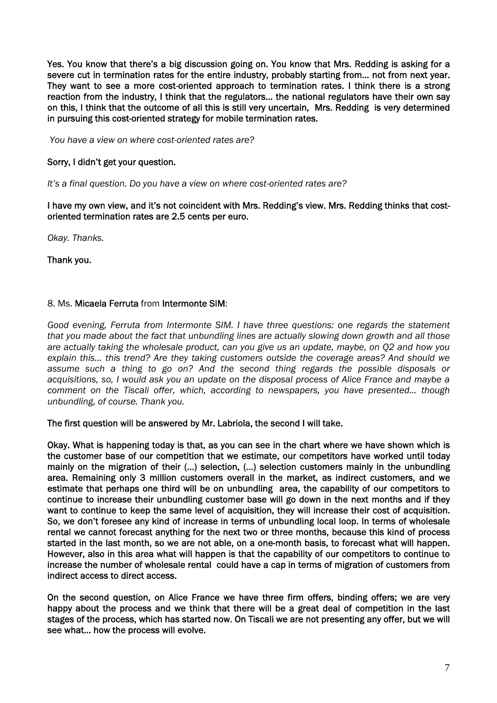Yes. You know that there's a big discussion going on. You know that Mrs. Redding is asking for a severe cut in termination rates for the entire industry, probably starting from… not from next year. They want to see a more cost-oriented approach to termination rates. I think there is a strong reaction from the industry, I think that the regulators… the national regulators have their own say on this, I think that the outcome of all this is still very uncertain, Mrs. Redding is very determined in pursuing this cost-oriented strategy for mobile termination rates.

*You have a view on where cost-oriented rates are?* 

# Sorry, I didn't get your question.

*It's a final question. Do you have a view on where cost-oriented rates are?* 

I have my own view, and it's not coincident with Mrs. Redding's view. Mrs. Redding thinks that costoriented termination rates are 2.5 cents per euro.

*Okay. Thanks.* 

Thank you.

# 8. Ms. Micaela Ferruta from Intermonte SIM:

*Good evening, Ferruta from Intermonte SIM. I have three questions: one regards the statement that you made about the fact that unbundling lines are actually slowing down growth and all those are actually taking the wholesale product, can you give us an update, maybe, on Q2 and how you explain this… this trend? Are they taking customers outside the coverage areas? And should we assume such a thing to go on? And the second thing regards the possible disposals or acquisitions, so, I would ask you an update on the disposal process of Alice France and maybe a comment on the Tiscali offer, which, according to newspapers, you have presented… though unbundling, of course. Thank you.* 

# The first question will be answered by Mr. Labriola, the second I will take.

Okay. What is happening today is that, as you can see in the chart where we have shown which is the customer base of our competition that we estimate, our competitors have worked until today mainly on the migration of their (…) selection, (…) selection customers mainly in the unbundling area. Remaining only 3 million customers overall in the market, as indirect customers, and we estimate that perhaps one third will be on unbundling area, the capability of our competitors to continue to increase their unbundling customer base will go down in the next months and if they want to continue to keep the same level of acquisition, they will increase their cost of acquisition. So, we don't foresee any kind of increase in terms of unbundling local loop. In terms of wholesale rental we cannot forecast anything for the next two or three months, because this kind of process started in the last month, so we are not able, on a one-month basis, to forecast what will happen. However, also in this area what will happen is that the capability of our competitors to continue to increase the number of wholesale rental could have a cap in terms of migration of customers from indirect access to direct access.

On the second question, on Alice France we have three firm offers, binding offers; we are very happy about the process and we think that there will be a great deal of competition in the last stages of the process, which has started now. On Tiscali we are not presenting any offer, but we will see what… how the process will evolve.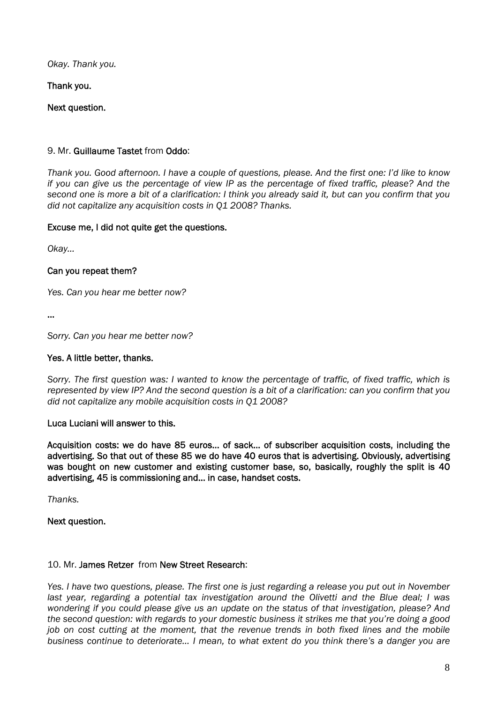*Okay. Thank you.* 

Thank you.

Next question.

# 9. Mr. Guillaume Tastet from Oddo:

*Thank you. Good afternoon. I have a couple of questions, please. And the first one: I'd like to know if you can give us the percentage of view IP as the percentage of fixed traffic, please? And the second one is more a bit of a clarification: I think you already said it, but can you confirm that you did not capitalize any acquisition costs in Q1 2008? Thanks.* 

# Excuse me, I did not quite get the questions.

*Okay…* 

# Can you repeat them?

*Yes. Can you hear me better now?* 

…

*Sorry. Can you hear me better now?* 

# Yes. A little better, thanks.

*Sorry. The first question was: I wanted to know the percentage of traffic, of fixed traffic, which is represented by view IP? And the second question is a bit of a clarification: can you confirm that you did not capitalize any mobile acquisition costs in Q1 2008?* 

# Luca Luciani will answer to this.

Acquisition costs: we do have 85 euros… of sack… of subscriber acquisition costs, including the advertising. So that out of these 85 we do have 40 euros that is advertising. Obviously, advertising was bought on new customer and existing customer base, so, basically, roughly the split is 40 advertising, 45 is commissioning and… in case, handset costs.

*Thanks.* 

Next question.

# 10. Mr. James Retzer from New Street Research:

*Yes. I have two questions, please. The first one is just regarding a release you put out in November*  last year, regarding a potential tax investigation around the Olivetti and the Blue deal; I was *wondering if you could please give us an update on the status of that investigation, please? And the second question: with regards to your domestic business it strikes me that you're doing a good job on cost cutting at the moment, that the revenue trends in both fixed lines and the mobile business continue to deteriorate… I mean, to what extent do you think there's a danger you are*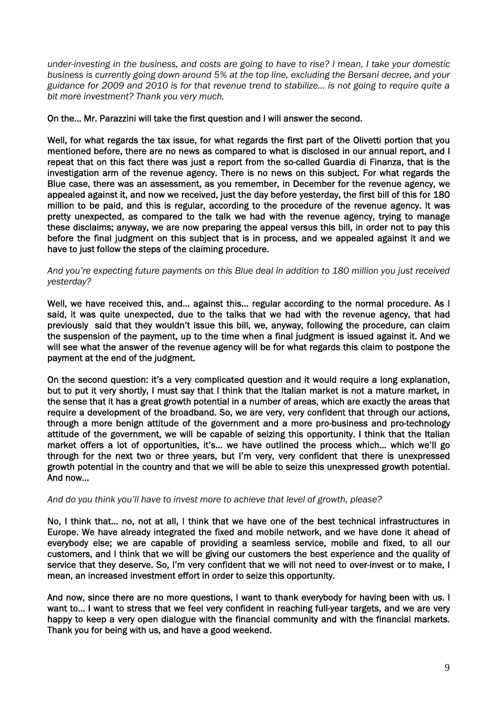*under-investing in the business, and costs are going to have to rise? I mean, I take your domestic business is currently going down around 5% at the top line, excluding the Bersani decree, and your guidance for 2009 and 2010 is for that revenue trend to stabilize… is not going to require quite a bit more investment? Thank you very much.* 

# On the… Mr. Parazzini will take the first question and I will answer the second.

Well, for what regards the tax issue, for what regards the first part of the Olivetti portion that you mentioned before, there are no news as compared to what is disclosed in our annual report, and I repeat that on this fact there was just a report from the so-called Guardia di Finanza, that is the investigation arm of the revenue agency. There is no news on this subject. For what regards the Blue case, there was an assessment, as you remember, in December for the revenue agency, we appealed against it, and now we received, just the day before yesterday, the first bill of this for 180 million to be paid, and this is regular, according to the procedure of the revenue agency. It was pretty unexpected, as compared to the talk we had with the revenue agency, trying to manage these disclaims; anyway, we are now preparing the appeal versus this bill, in order not to pay this before the final judgment on this subject that is in process, and we appealed against it and we have to just follow the steps of the claiming procedure.

#### *And you're expecting future payments on this Blue deal in addition to 180 million you just received yesterday?*

Well, we have received this, and... against this... regular according to the normal procedure. As I said, it was quite unexpected, due to the talks that we had with the revenue agency, that had previously said that they wouldn't issue this bill, we, anyway, following the procedure, can claim the suspension of the payment, up to the time when a final judgment is issued against it. And we will see what the answer of the revenue agency will be for what regards this claim to postpone the payment at the end of the judgment.

On the second question: it's a very complicated question and it would require a long explanation, but to put it very shortly, I must say that I think that the Italian market is not a mature market, in the sense that it has a great growth potential in a number of areas, which are exactly the areas that require a development of the broadband. So, we are very, very confident that through our actions, through a more benign attitude of the government and a more pro-business and pro-technology attitude of the government, we will be capable of seizing this opportunity. I think that the Italian market offers a lot of opportunities, it's… we have outlined the process which… which we'll go through for the next two or three years, but I'm very, very confident that there is unexpressed growth potential in the country and that we will be able to seize this unexpressed growth potential. And now…

#### *And do you think you'll have to invest more to achieve that level of growth, please?*

No, I think that… no, not at all, I think that we have one of the best technical infrastructures in Europe. We have already integrated the fixed and mobile network, and we have done it ahead of everybody else; we are capable of providing a seamless service, mobile and fixed, to all our customers, and I think that we will be giving our customers the best experience and the quality of service that they deserve. So, I'm very confident that we will not need to over-invest or to make, I mean, an increased investment effort in order to seize this opportunity.

And now, since there are no more questions, I want to thank everybody for having been with us. I want to… I want to stress that we feel very confident in reaching full-year targets, and we are very happy to keep a very open dialogue with the financial community and with the financial markets. Thank you for being with us, and have a good weekend.